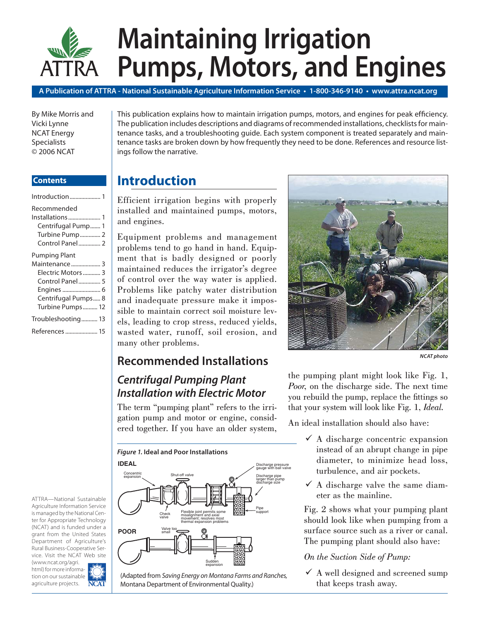

# **Maintaining Irrigation Pumps, Motors, and Engines**

**A Publication of ATTRA - National Sustainable Agriculture Information Service • 1-800-346-9140 • www.attra.ncat.org**

By Mike Morris and Vicki Lynne NCAT Energy **Specialists** © 2006 NCAT

This publication explains how to maintain irrigation pumps, motors, and engines for peak efficiency. The publication includes descriptions and diagrams of recommended installations, checklists for maintenance tasks, and a troubleshooting guide. Each system component is treated separately and maintenance tasks are broken down by how frequently they need to be done. References and resource listings follow the narrative.

# **Introduction**

Efficient irrigation begins with properly installed and maintained pumps, motors, and engines.

Equipment problems and management problems tend to go hand in hand. Equipment that is badly designed or poorly maintained reduces the irrigator's degree of control over the way water is applied. Problems like patchy water distribution and inadequate pressure make it impossible to maintain correct soil moisture levels, leading to crop stress, reduced yields, wasted water, runoff, soil erosion, and many other problems.

# **Recommended Installations**

## *Centrifugal Pumping Plant Installation with Electric Motor*

The term "pumping plant" refers to the irrigation pump and motor or engine, considered together. If you have an older system,

Sudden expansion Valve too small Check valve Concentric expansion Shut-off valve Flexible joint permits some misalignment and axial movement; resolves most thermal expansion problems Discharge pipe larger than pump discharge size Pipe support Discharge pressure gauge with ball valve **IDEAL POOR** *Figure 1.* **Ideal and Poor Installations**



*NCAT photo*

the pumping plant might look like Fig. 1, *Poor*, on the discharge side. The next time you rebuild the pump, replace the fittings so that your system will look like Fig. 1, *Ideal.*

An ideal installation should also have:

- $\checkmark$  A discharge concentric expansion instead of an abrupt change in pipe diameter, to minimize head loss, turbulence, and air pockets.
- $\checkmark$  A discharge valve the same diameter as the mainline.

Fig. 2 shows what your pumping plant should look like when pumping from a surface source such as a river or canal. The pumping plant should also have:

*On the Suction Side of Pump:*

 $\checkmark$  A well designed and screened sump that keeps trash away.

**Contents**

| Introduction 1      |  |
|---------------------|--|
| Recommended         |  |
| Installations  1    |  |
| Centrifugal Pump 1  |  |
| Turbine Pump 2      |  |
| Control Panel 2     |  |
| Pumping Plant       |  |
| Maintenance  3      |  |
| Electric Motors  3  |  |
| Control Panel 5     |  |
|                     |  |
| Centrifugal Pumps 8 |  |
| Turbine Pumps 12    |  |
| Troubleshooting 13  |  |
| References  15      |  |
|                     |  |

ATTRA—National Sustainable Agriculture Information Service is managed by the National Center for Appropriate Technology (NCAT) and is funded under a grant from the United States Department of Agriculture's Rural Business-Cooperative Service. Visit the NCAT Web site (www.ncat.org/agri.

html) for more information on our sustainable agriculture projects. **NCAT** 



(Adapted from *Saving Energy on Montana Farms and Ranches,*  Montana Department of Environmental Quality.)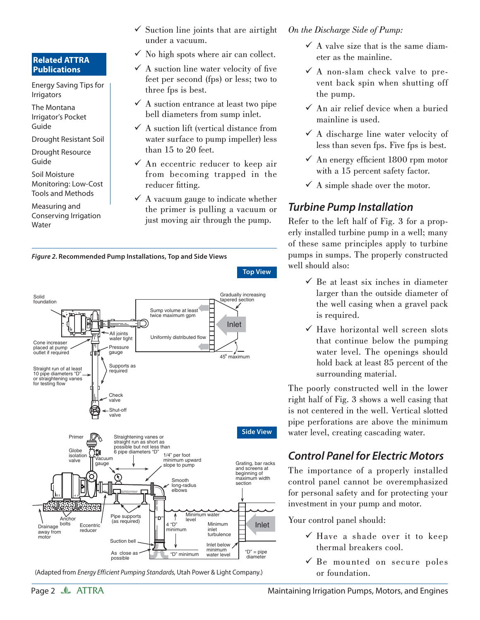#### **Related ATTRA Publications**

Energy Saving Tips for Irrigators

The Montana Irrigator's Pocket Guide

Drought Resistant Soil

Drought Resource Guide

Soil Moisture Monitoring: Low-Cost Tools and Methods

Measuring and Conserving Irrigation Water

- $\checkmark$  Suction line joints that are airtight under a vacuum.
- $\checkmark$  No high spots where air can collect.
- $\checkmark$  A suction line water velocity of five feet per second (fps) or less; two to three fps is best.
- $\checkmark$  A suction entrance at least two pipe bell diameters from sump inlet.
- $\checkmark$  A suction lift (vertical distance from water surface to pump impeller) less than 15 to 20 feet.
- $\checkmark$  An eccentric reducer to keep air from becoming trapped in the reducer fitting.
- $\checkmark$  A vacuum gauge to indicate whether the primer is pulling a vacuum or just moving air through the pump.

*On the Discharge Side of Pump:*

- $\checkmark$  A valve size that is the same diameter as the mainline.
- $\checkmark$  A non-slam check valve to prevent back spin when shutting off the pump.
- $\checkmark$  An air relief device when a buried mainline is used.
- $\checkmark$  A discharge line water velocity of less than seven fps. Five fps is best.
- $\checkmark$  An energy efficient 1800 rpm motor with a 15 percent safety factor.
- $\checkmark$  A simple shade over the motor.

# *Turbine Pump Installation*

Refer to the left half of Fig. 3 for a properly installed turbine pump in a well; many of these same principles apply to turbine pumps in sumps. The properly constructed well should also:

- $\checkmark$  Be at least six inches in diameter larger than the outside diameter of the well casing when a gravel pack is required.
- $\checkmark$  Have horizontal well screen slots that continue below the pumping water level. The openings should hold back at least 85 percent of the surrounding material.

The poorly constructed well in the lower right half of Fig. 3 shows a well casing that is not centered in the well. Vertical slotted pipe perforations are above the minimum water level, creating cascading water.

# *Control Panel for Electric Motors*

The importance of a properly installed control panel cannot be overemphasized for personal safety and for protecting your investment in your pump and motor.

Your control panel should:

- $\checkmark$  Have a shade over it to keep thermal breakers cool.
- $\checkmark$  Be mounted on secure poles or foundation.



(Adapted from *Energy Efficient Pumping Standards,* Utah Power & Light Company.)

## *Figure 2.* **Recommended Pump Installations, Top and Side Views**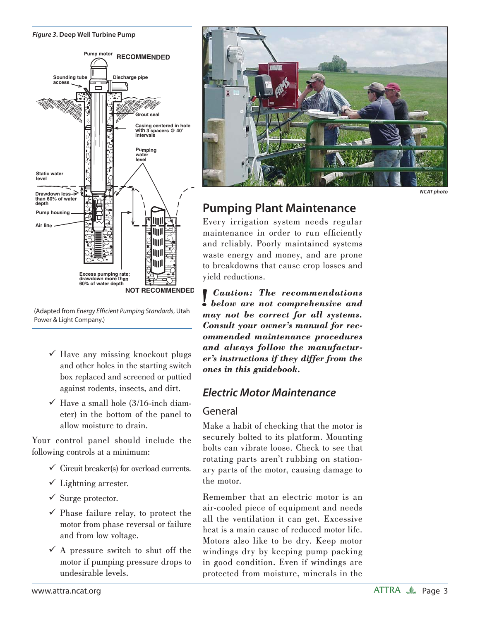#### *Figure 3.* **Deep Well Turbine Pump**



(Adapted from *Energy Efficient Pumping Standards*, Utah Power & Light Company.)

- $\checkmark$  Have any missing knockout plugs and other holes in the starting switch box replaced and screened or puttied against rodents, insects, and dirt.
- $\checkmark$  Have a small hole (3/16-inch diameter) in the bottom of the panel to allow moisture to drain.

Your control panel should include the following controls at a minimum:

- $\checkmark$  Circuit breaker(s) for overload currents.
- $\checkmark$  Lightning arrester.
- $\checkmark$  Surge protector.
- $\checkmark$  Phase failure relay, to protect the motor from phase reversal or failure and from low voltage.
- $\checkmark$  A pressure switch to shut off the motor if pumping pressure drops to undesirable levels.



*NCAT photo*

# **Pumping Plant Maintenance**

Every irrigation system needs regular maintenance in order to run efficiently and reliably. Poorly maintained systems waste energy and money, and are prone to breakdowns that cause crop losses and yield reductions.

 *Caution: The recommendations below are not comprehensive and may not be correct for all systems. Consult your owner's manual for recommended maintenance procedures and always follow the manufacturer's instructions if they differ from the ones in this guidebook.*

#### *Electric Motor Maintenance*

#### General

Make a habit of checking that the motor is securely bolted to its platform. Mounting bolts can vibrate loose. Check to see that rotating parts aren't rubbing on stationary parts of the motor, causing damage to the motor.

Remember that an electric motor is an air-cooled piece of equipment and needs all the ventilation it can get. Excessive heat is a main cause of reduced motor life. Motors also like to be dry. Keep motor windings dry by keeping pump packing in good condition. Even if windings are protected from moisture, minerals in the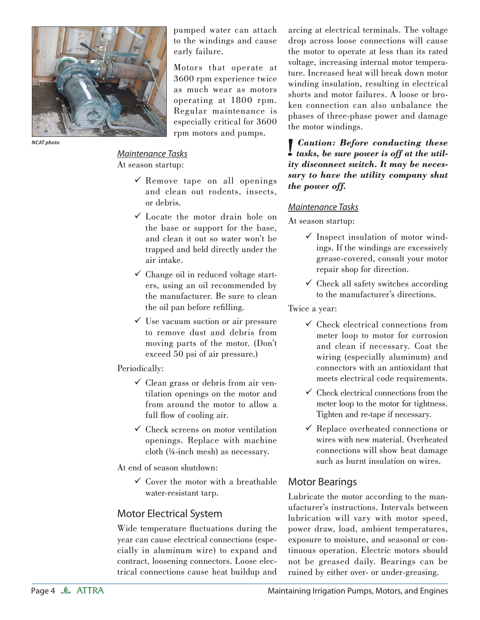

*NCAT photo*

#### *Maintenance Tasks*

At season startup:

 $\checkmark$  Remove tape on all openings and clean out rodents, insects, or debris.

pumped water can attach to the windings and cause

Motors that operate at 3600 rpm experience twice as much wear as motors operating at 1800 rpm. Regular maintenance is especially critical for 3600 rpm motors and pumps.

early failure.

- $\checkmark$  Locate the motor drain hole on the base or support for the base, and clean it out so water won't be trapped and held directly under the air intake.
- $\checkmark$  Change oil in reduced voltage starters, using an oil recommended by the manufacturer. Be sure to clean the oil pan before refilling.
- $\checkmark$  Use vacuum suction or air pressure to remove dust and debris from moving parts of the motor. (Don't exceed 50 psi of air pressure.)

#### Periodically:

- $\checkmark$  Clean grass or debris from air ventilation openings on the motor and from around the motor to allow a full flow of cooling air.
- $\checkmark$  Check screens on motor ventilation openings. Replace with machine cloth (¼-inch mesh) as necessary.

At end of season shutdown:

 $\checkmark$  Cover the motor with a breathable water-resistant tarp.

## Motor Electrical System

Wide temperature fluctuations during the year can cause electrical connections (especially in aluminum wire) to expand and contract, loosening connectors. Loose electrical connections cause heat buildup and arcing at electrical terminals. The voltage drop across loose connections will cause the motor to operate at less than its rated voltage, increasing internal motor temperature. Increased heat will break down motor winding insulation, resulting in electrical shorts and motor failures. A loose or broken connection can also unbalance the phases of three-phase power and damage the motor windings.

 *Caution: Before conducting these tasks, be sure power is off at the utility disconnect switch. It may be necessary to have the utility company shut the power off.*

#### *Maintenance Tasks*

At season startup:

- $\checkmark$  Inspect insulation of motor windings. If the windings are excessively grease-covered, consult your motor repair shop for direction.
- $\checkmark$  Check all safety switches according to the manufacturer's directions.

Twice a year:

- $\checkmark$  Check electrical connections from meter loop to motor for corrosion and clean if necessary. Coat the wiring (especially aluminum) and connectors with an antioxidant that meets electrical code requirements.
- $\checkmark$  Check electrical connections from the meter loop to the motor for tightness. Tighten and re-tape if necessary.
- $\checkmark$  Replace overheated connections or wires with new material. Overheated connections will show heat damage such as burnt insulation on wires.

## Motor Bearings

Lubricate the motor according to the manufacturer's instructions. Intervals between lubrication will vary with motor speed, power draw, load, ambient temperatures, exposure to moisture, and seasonal or continuous operation. Electric motors should not be greased daily. Bearings can be ruined by either over- or under-greasing.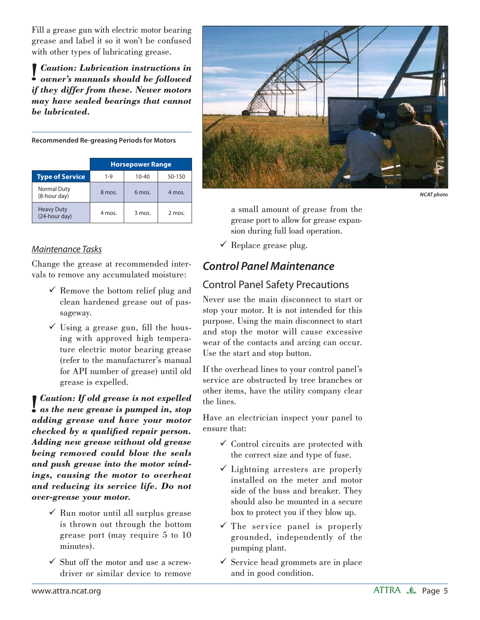Fill a grease gun with electric motor bearing grease and label it so it won't be confused with other types of lubricating grease.

 *Caution: Lubrication instructions in owner's manuals should be followed if they differ from these. Newer motors may have sealed bearings that cannot be lubricated.*

**Recommended Re-greasing Periods for Motors**

|                                    | <b>Horsepower Range</b> |                 |                 |  |  |  |  |  |
|------------------------------------|-------------------------|-----------------|-----------------|--|--|--|--|--|
| <b>Type of Service</b>             | $1 - 9$                 | $10 - 40$       | 50-150          |  |  |  |  |  |
| Normal Duty<br>(8-hour day)        | 8 mos.                  | $6 \text{ mas}$ | $4 \text{ mas}$ |  |  |  |  |  |
| <b>Heavy Duty</b><br>(24-hour day) | $4 \text{ mas}$         | 3 mos.          | $2 \text{ mas}$ |  |  |  |  |  |

#### *Maintenance Tasks*

Change the grease at recommended intervals to remove any accumulated moisture:

- $\checkmark$  Remove the bottom relief plug and clean hardened grease out of passageway.
- $\checkmark$  Using a grease gun, fill the housing with approved high temperature electric motor bearing grease (refer to the manufacturer's manual for API number of grease) until old grease is expelled.

 *Caution: If old grease is not expelled as the new grease is pumped in, stop adding grease and have your motor checked by a qualified repair person. Adding new grease without old grease being removed could blow the seals and push grease into the motor windings, causing the motor to overheat and reducing its service life. Do not over-grease your motor.*

- $\checkmark$  Run motor until all surplus grease is thrown out through the bottom grease port (may require 5 to 10 minutes).
- $\checkmark$  Shut off the motor and use a screwdriver or similar device to remove



*NCAT photo*

a small amount of grease from the grease port to allow for grease expansion during full load operation.

 $\checkmark$  Replace grease plug.

# *Control Panel Maintenance*

## Control Panel Safety Precautions

Never use the main disconnect to start or stop your motor. It is not intended for this purpose. Using the main disconnect to start and stop the motor will cause excessive wear of the contacts and arcing can occur. Use the start and stop button.

If the overhead lines to your control panel's service are obstructed by tree branches or other items, have the utility company clear the lines.

Have an electrician inspect your panel to ensure that:

- $\checkmark$  Control circuits are protected with the correct size and type of fuse.
- $\checkmark$  Lightning arresters are properly installed on the meter and motor side of the buss and breaker. They should also be mounted in a secure box to protect you if they blow up.
- $\checkmark$  The service panel is properly grounded, independently of the pumping plant.
- $\checkmark$  Service head grommets are in place and in good condition.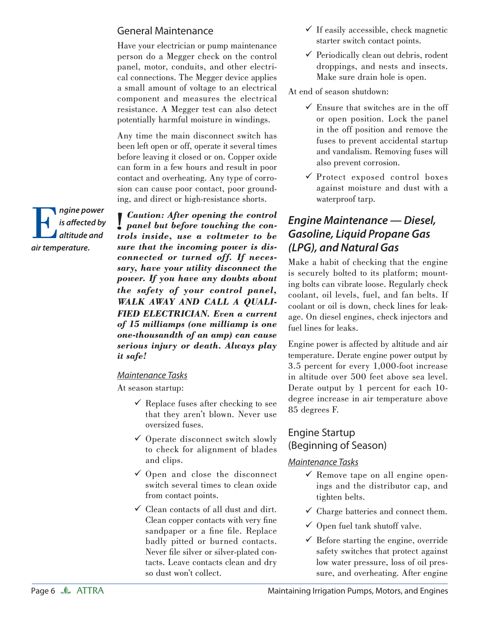#### General Maintenance

Have your electrician or pump maintenance person do a Megger check on the control panel, motor, conduits, and other electrical connections. The Megger device applies a small amount of voltage to an electrical component and measures the electrical resistance. A Megger test can also detect potentially harmful moisture in windings.

Any time the main disconnect switch has been left open or off, operate it several times before leaving it closed or on. Copper oxide can form in a few hours and result in poor contact and overheating. Any type of corrosion can cause poor contact, poor grounding, and direct or high-resistance shorts.

**Example power**<br> **Example 2** is affected by<br> **Example 2** altitude and *is aff ected by altitude and air temperature.*

 *Caution: After opening the control panel but before touching the controls inside, use a voltmeter to be sure that the incoming power is disconnected or turned off. If necessary, have your utility disconnect the power. If you have any doubts about the safety of your control panel, WALK AWAY AND CALL A QUALI-FIED ELECTRICIAN. Even a current of 15 milliamps (one milliamp is one one-thousandth of an amp) can cause serious injury or death. Always play it safe!*

#### *Maintenance Tasks*

At season startup:

- $\checkmark$  Replace fuses after checking to see that they aren't blown. Never use oversized fuses.
- $\checkmark$  Operate disconnect switch slowly to check for alignment of blades and clips.
- $\checkmark$  Open and close the disconnect switch several times to clean oxide from contact points.
- $\checkmark$  Clean contacts of all dust and dirt. Clean copper contacts with very fine sandpaper or a fine file. Replace badly pitted or burned contacts. Never file silver or silver-plated contacts. Leave contacts clean and dry so dust won't collect.
- $\checkmark$  If easily accessible, check magnetic starter switch contact points.
- $\checkmark$  Periodically clean out debris, rodent droppings, and nests and insects. Make sure drain hole is open.

At end of season shutdown:

- $\checkmark$  Ensure that switches are in the off or open position. Lock the panel in the off position and remove the fuses to prevent accidental startup and vandalism. Removing fuses will also prevent corrosion.
- $\checkmark$  Protect exposed control boxes against moisture and dust with a waterproof tarp.

## *Engine Maintenance — Diesel, Gasoline, Liquid Propane Gas (LPG), and Natural Gas*

Make a habit of checking that the engine is securely bolted to its platform; mounting bolts can vibrate loose. Regularly check coolant, oil levels, fuel, and fan belts. If coolant or oil is down, check lines for leakage. On diesel engines, check injectors and fuel lines for leaks.

Engine power is affected by altitude and air temperature. Derate engine power output by 3.5 percent for every 1,000-foot increase in altitude over 500 feet above sea level. Derate output by 1 percent for each 10 degree increase in air temperature above 85 degrees F.

## Engine Startup (Beginning of Season)

#### *Maintenance Tasks*

- $\checkmark$  Remove tape on all engine openings and the distributor cap, and tighten belts.
- $\checkmark$  Charge batteries and connect them.
- $\checkmark$  Open fuel tank shutoff valve.
- $\checkmark$  Before starting the engine, override safety switches that protect against low water pressure, loss of oil pressure, and overheating. After engine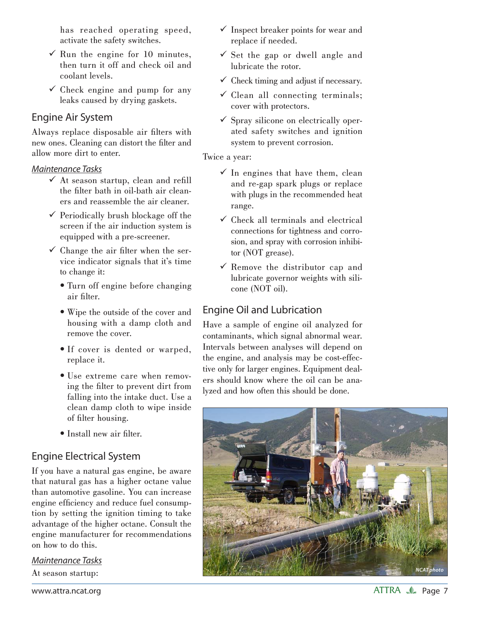has reached operating speed, activate the safety switches.

- $\checkmark$  Run the engine for 10 minutes, then turn it off and check oil and coolant levels.
- $\checkmark$  Check engine and pump for any leaks caused by drying gaskets.

#### Engine Air System

Always replace disposable air filters with new ones. Cleaning can distort the filter and allow more dirt to enter.

#### *Maintenance Tasks*

- $\checkmark$  At season startup, clean and refill the filter bath in oil-bath air cleaners and reassemble the air cleaner.
- $\checkmark$  Periodically brush blockage off the screen if the air induction system is equipped with a pre-screener.
- $\checkmark$  Change the air filter when the service indicator signals that it's time to change it:
	- Turn off engine before changing air filter.
	- Wipe the outside of the cover and housing with a damp cloth and remove the cover.
	- If cover is dented or warped, replace it.
	- Use extreme care when removing the filter to prevent dirt from falling into the intake duct. Use a clean damp cloth to wipe inside of filter housing.
	- Install new air filter.

## Engine Electrical System

If you have a natural gas engine, be aware that natural gas has a higher octane value than automotive gasoline. You can increase engine efficiency and reduce fuel consumption by setting the ignition timing to take advantage of the higher octane. Consult the engine manufacturer for recommendations on how to do this.

*Maintenance Tasks* At season startup:

- $\checkmark$  Inspect breaker points for wear and replace if needed.
- $\checkmark$  Set the gap or dwell angle and lubricate the rotor.
- $\checkmark$  Check timing and adjust if necessary.
- $\checkmark$  Clean all connecting terminals; cover with protectors.
- $\checkmark$  Spray silicone on electrically operated safety switches and ignition system to prevent corrosion.

Twice a year:

- $\checkmark$  In engines that have them, clean and re-gap spark plugs or replace with plugs in the recommended heat range.
- $\checkmark$  Check all terminals and electrical connections for tightness and corrosion, and spray with corrosion inhibitor (NOT grease).
- $\checkmark$  Remove the distributor cap and lubricate governor weights with silicone (NOT oil).

## Engine Oil and Lubrication

Have a sample of engine oil analyzed for contaminants, which signal abnormal wear. Intervals between analyses will depend on the engine, and analysis may be cost-effective only for larger engines. Equipment dealers should know where the oil can be analyzed and how often this should be done.

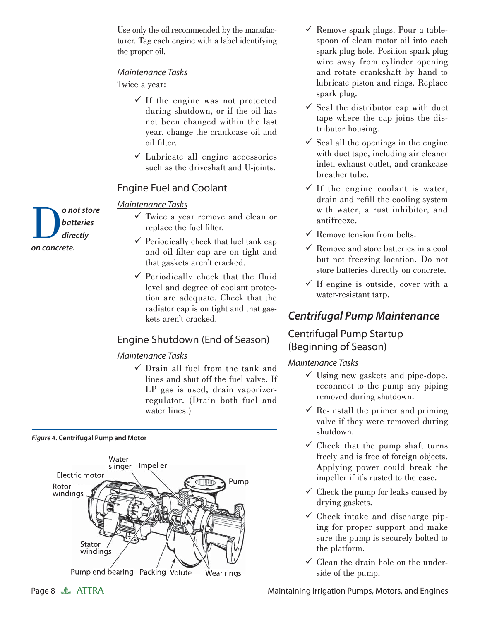Use only the oil recommended by the manufacturer. Tag each engine with a label identifying the proper oil.

#### *Maintenance Tasks*

Twice a year:

- $\checkmark$  If the engine was not protected during shutdown, or if the oil has not been changed within the last year, change the crankcase oil and oil filter.
- $\checkmark$  Lubricate all engine accessories such as the driveshaft and U-joints.

## Engine Fuel and Coolant

#### *Maintenance Tasks*

- $\checkmark$  Twice a year remove and clean or replace the fuel filter.
	- $\checkmark$  Periodically check that fuel tank cap and oil filter cap are on tight and that gaskets aren't cracked.
	- $\checkmark$  Periodically check that the fluid level and degree of coolant protection are adequate. Check that the radiator cap is on tight and that gaskets aren't cracked.

## Engine Shutdown (End of Season)

#### *Maintenance Tasks*

 $\checkmark$  Drain all fuel from the tank and lines and shut off the fuel valve. If LP gas is used, drain vaporizerregulator. (Drain both fuel and water lines.)

#### *Figure 4.* **Centrifugal Pump and Motor**



- $\checkmark$  Remove spark plugs. Pour a tablespoon of clean motor oil into each spark plug hole. Position spark plug wire away from cylinder opening and rotate crankshaft by hand to lubricate piston and rings. Replace spark plug.
- $\checkmark$  Seal the distributor cap with duct tape where the cap joins the distributor housing.
- $\checkmark$  Seal all the openings in the engine with duct tape, including air cleaner inlet, exhaust outlet, and crankcase breather tube.
- $\checkmark$  If the engine coolant is water, drain and refill the cooling system with water, a rust inhibitor, and antifreeze.
- $\checkmark$  Remove tension from belts.
- $\checkmark$  Remove and store batteries in a cool but not freezing location. Do not store batteries directly on concrete.
- $\checkmark$  If engine is outside, cover with a water-resistant tarp.

## *Centrifugal Pump Maintenance*

## Centrifugal Pump Startup (Beginning of Season)

#### *Maintenance Tasks*

- $\checkmark$  Using new gaskets and pipe-dope, reconnect to the pump any piping removed during shutdown.
- $\checkmark$  Re-install the primer and priming valve if they were removed during shutdown.
- $\checkmark$  Check that the pump shaft turns freely and is free of foreign objects. Applying power could break the impeller if it's rusted to the case.
- $\checkmark$  Check the pump for leaks caused by drying gaskets.
- $\checkmark$  Check intake and discharge piping for proper support and make sure the pump is securely bolted to the platform.
- $\checkmark$  Clean the drain hole on the underside of the pump.

**D** *o* not store *batteries directly batteries directly on concrete.*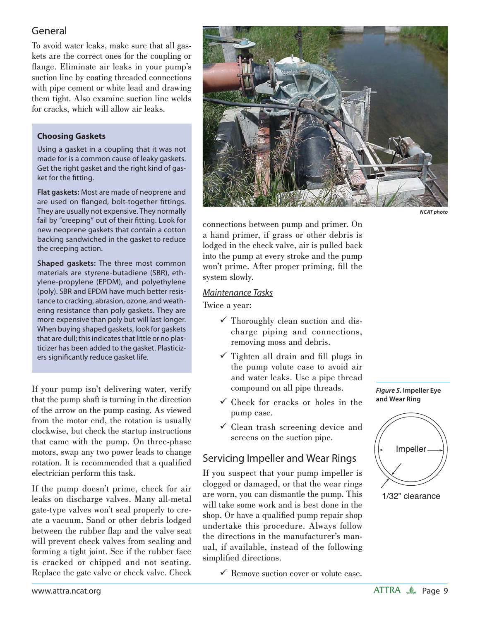## General

To avoid water leaks, make sure that all gaskets are the correct ones for the coupling or flange. Eliminate air leaks in your pump's suction line by coating threaded connections with pipe cement or white lead and drawing them tight. Also examine suction line welds for cracks, which will allow air leaks.

#### **Choosing Gaskets**

Using a gasket in a coupling that it was not made for is a common cause of leaky gaskets. Get the right gasket and the right kind of gasket for the fitting.

**Flat gaskets:** Most are made of neoprene and are used on flanged, bolt-together fittings. They are usually not expensive. They normally fail by "creeping" out of their fitting. Look for new neoprene gaskets that contain a cotton backing sandwiched in the gasket to reduce the creeping action.

**Shaped gaskets:** The three most common materials are styrene-butadiene (SBR), ethylene-propylene (EPDM), and polyethylene (poly). SBR and EPDM have much better resistance to cracking, abrasion, ozone, and weathering resistance than poly gaskets. They are more expensive than poly but will last longer. When buying shaped gaskets, look for gaskets that are dull; this indicates that little or no plasticizer has been added to the gasket. Plasticizers significantly reduce gasket life.

If your pump isn't delivering water, verify that the pump shaft is turning in the direction of the arrow on the pump casing. As viewed from the motor end, the rotation is usually clockwise, but check the startup instructions that came with the pump. On three-phase motors, swap any two power leads to change rotation. It is recommended that a qualified electrician perform this task.

If the pump doesn't prime, check for air leaks on discharge valves. Many all-metal gate-type valves won't seal properly to create a vacuum. Sand or other debris lodged between the rubber flap and the valve seat will prevent check valves from sealing and forming a tight joint. See if the rubber face is cracked or chipped and not seating. Replace the gate valve or check valve. Check



*NCAT photo*

connections between pump and primer. On a hand primer, if grass or other debris is lodged in the check valve, air is pulled back into the pump at every stroke and the pump won't prime. After proper priming, fill the system slowly.

#### *Maintenance Tasks*

Twice a year:

- $\checkmark$  Thoroughly clean suction and discharge piping and connections, removing moss and debris.
- $\checkmark$  Tighten all drain and fill plugs in the pump volute case to avoid air and water leaks. Use a pipe thread compound on all pipe threads.
- $\checkmark$  Check for cracks or holes in the pump case.
- $\checkmark$  Clean trash screening device and screens on the suction pipe.

## Servicing Impeller and Wear Rings

If you suspect that your pump impeller is clogged or damaged, or that the wear rings are worn, you can dismantle the pump. This will take some work and is best done in the shop. Or have a qualified pump repair shop undertake this procedure. Always follow the directions in the manufacturer's manual, if available, instead of the following simplified directions.

 $\checkmark$  Remove suction cover or volute case.

*Figure 5.* **Impeller Eye and Wear Ring**



1/32" clearance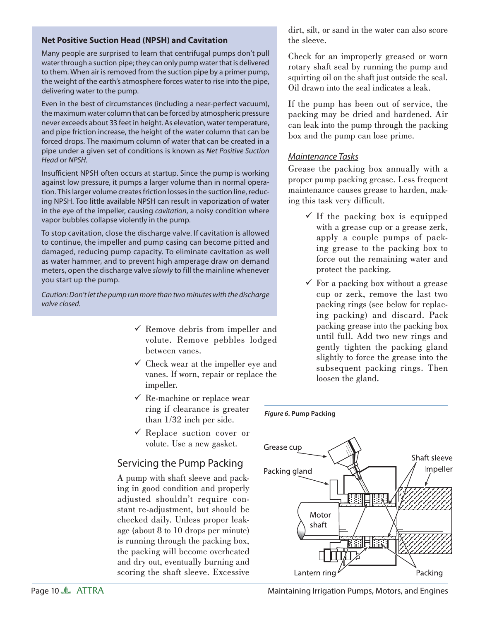#### **Net Positive Suction Head (NPSH) and Cavitation**

Many people are surprised to learn that centrifugal pumps don't pull water through a suction pipe; they can only pump water that is delivered to them. When air is removed from the suction pipe by a primer pump, the weight of the earth's atmosphere forces water to rise into the pipe, delivering water to the pump.

Even in the best of circumstances (including a near-perfect vacuum), the maximum water column that can be forced by atmospheric pressure never exceeds about 33 feet in height. As elevation, water temperature, and pipe friction increase, the height of the water column that can be forced drops. The maximum column of water that can be created in a pipe under a given set of conditions is known as *Net Positive Suction Head* or *NPSH.*

Insufficient NPSH often occurs at startup. Since the pump is working against low pressure, it pumps a larger volume than in normal operation. This larger volume creates friction losses in the suction line, reducing NPSH. Too little available NPSH can result in vaporization of water in the eye of the impeller, causing *cavitation*, a noisy condition where vapor bubbles collapse violently in the pump.

To stop cavitation, close the discharge valve. If cavitation is allowed to continue, the impeller and pump casing can become pitted and damaged, reducing pump capacity. To eliminate cavitation as well as water hammer, and to prevent high amperage draw on demand meters, open the discharge valve *slowly* to fill the mainline whenever you start up the pump.

*Caution: Don't let the pump run more than two minutes with the discharge valve closed.*

- $\checkmark$  Remove debris from impeller and volute. Remove pebbles lodged between vanes.
- $\checkmark$  Check wear at the impeller eye and vanes. If worn, repair or replace the impeller.
- $\checkmark$  Re-machine or replace wear ring if clearance is greater than 1/32 inch per side.
- $\checkmark$  Replace suction cover or volute. Use a new gasket.

#### Servicing the Pump Packing

A pump with shaft sleeve and packing in good condition and properly adjusted shouldn't require constant re-adjustment, but should be checked daily. Unless proper leakage (about 8 to 10 drops per minute) is running through the packing box, the packing will become overheated and dry out, eventually burning and scoring the shaft sleeve. Excessive

dirt, silt, or sand in the water can also score the sleeve.

Check for an improperly greased or worn rotary shaft seal by running the pump and squirting oil on the shaft just outside the seal. Oil drawn into the seal indicates a leak.

If the pump has been out of service, the packing may be dried and hardened. Air can leak into the pump through the packing box and the pump can lose prime.

#### *Maintenance Tasks*

Grease the packing box annually with a proper pump packing grease. Less frequent maintenance causes grease to harden, making this task very difficult.

- $\checkmark$  If the packing box is equipped with a grease cup or a grease zerk, apply a couple pumps of packing grease to the packing box to force out the remaining water and protect the packing.
- $\checkmark$  For a packing box without a grease cup or zerk, remove the last two packing rings (see below for replacing packing) and discard. Pack packing grease into the packing box until full. Add two new rings and gently tighten the packing gland slightly to force the grease into the subsequent packing rings. Then loosen the gland.

#### *Figure 6.* **Pump Packing**

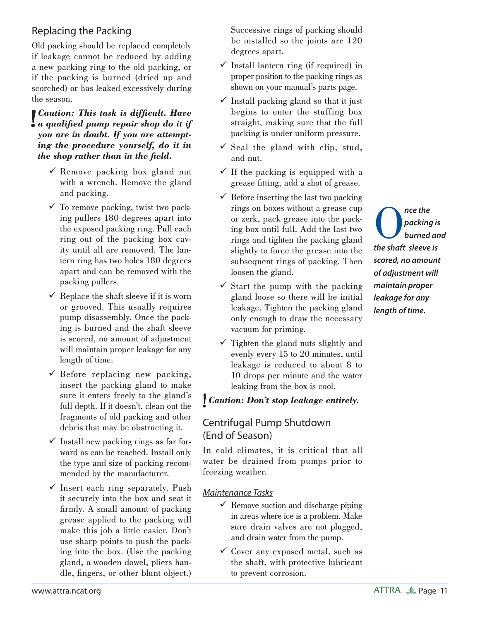## Replacing the Packing

Old packing should be replaced completely if leakage cannot be reduced by adding a new packing ring to the old packing, or if the packing is burned (dried up and scorched) or has leaked excessively during the season.

*Caution: This task is difficult. Have a qualifi ed pump repair shop do it if you are in doubt. If you are attempting the procedure yourself, do it in the shop rather than in the field.* 

- $\checkmark$  Remove packing box gland nut with a wrench. Remove the gland and packing.
- $\checkmark$  To remove packing, twist two packing pullers 180 degrees apart into the exposed packing ring. Pull each ring out of the packing box cavity until all are removed. The lantern ring has two holes 180 degrees apart and can be removed with the packing pullers.
- $\checkmark$  Replace the shaft sleeve if it is worn or grooved. This usually requires pump disassembly. Once the packing is burned and the shaft sleeve is scored, no amount of adjustment will maintain proper leakage for any length of time.
- $\checkmark$  Before replacing new packing, insert the packing gland to make sure it enters freely to the gland's full depth. If it doesn't, clean out the fragments of old packing and other debris that may be obstructing it.
- $\checkmark$  Install new packing rings as far forward as can be reached. Install only the type and size of packing recommended by the manufacturer.
- $\checkmark$  Insert each ring separately. Push it securely into the box and seat it firmly. A small amount of packing grease applied to the packing will make this job a little easier. Don't use sharp points to push the packing into the box. (Use the packing gland, a wooden dowel, pliers handle, fingers, or other blunt object.)

Successive rings of packing should be installed so the joints are 120 degrees apart.

- $\checkmark$  Install lantern ring (if required) in proper position to the packing rings as shown on your manual's parts page.
- $\checkmark$  Install packing gland so that it just begins to enter the stuffing box straight, making sure that the full packing is under uniform pressure.
- $\checkmark$  Seal the gland with clip, stud, and nut.
- $\checkmark$  If the packing is equipped with a grease fitting, add a shot of grease.
- $\checkmark$  Before inserting the last two packing rings on boxes without a grease cup or zerk, pack grease into the packing box until full. Add the last two rings and tighten the packing gland slightly to force the grease into the subsequent rings of packing. Then loosen the gland.
- $\checkmark$  Start the pump with the packing gland loose so there will be initial leakage. Tighten the packing gland only enough to draw the necessary vacuum for priming.
- $\checkmark$  Tighten the gland nuts slightly and evenly every 15 to 20 minutes, until leakage is reduced to about 8 to 10 drops per minute and the water leaking from the box is cool.

#### *Caution: Don't stop leakage entirely.*

## Centrifugal Pump Shutdown (End of Season)

In cold climates, it is critical that all water be drained from pumps prior to freezing weather.

#### *Maintenance Tasks*

- $\checkmark$  Remove suction and discharge piping in areas where ice is a problem. Make sure drain valves are not plugged, and drain water from the pump.
- $\checkmark$  Cover any exposed metal, such as the shaft, with protective lubricant to prevent corrosion.

O*nce the the shaft sleeve is packing is burned and scored, no amount of adjustment will maintain proper leakage for any length of time.*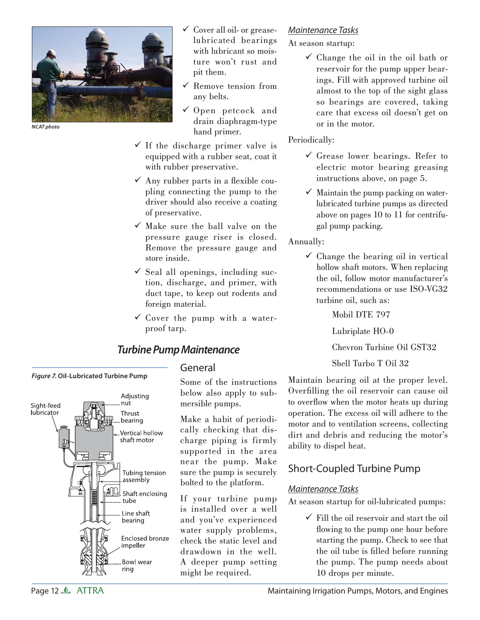

*NCAT photo*

- $\checkmark$  Cover all oil- or greaselubricated bearings with lubricant so moisture won't rust and pit them.
- $\checkmark$  Remove tension from any belts.
- Open petcock and 9 drain diaphragm-type hand primer.
- $\checkmark$  If the discharge primer valve is equipped with a rubber seat, coat it with rubber preservative.
- $\checkmark$  Any rubber parts in a flexible coupling connecting the pump to the driver should also receive a coating of preservative.
- $\checkmark$  Make sure the ball valve on the pressure gauge riser is closed. Remove the pressure gauge and store inside.
- $\checkmark$  Seal all openings, including suction, discharge, and primer, with duct tape, to keep out rodents and foreign material.
- $\checkmark$  Cover the pump with a waterproof tarp.

# *Turbine Pump Maintenance*

*Figure 7.* **Oil-Lubricated Turbine Pump**



#### General

Some of the instructions below also apply to submersible pumps.

Make a habit of periodically checking that discharge piping is firmly supported in the area near the pump. Make sure the pump is securely bolted to the platform.

If your turbine pump is installed over a well and you've experienced water supply problems, check the static level and drawdown in the well. A deeper pump setting might be required.

#### *Maintenance Tasks*

At season startup:

 $\checkmark$  Change the oil in the oil bath or reservoir for the pump upper bearings. Fill with approved turbine oil almost to the top of the sight glass so bearings are covered, taking care that excess oil doesn't get on or in the motor.

Periodically:

- $\checkmark$  Grease lower bearings. Refer to electric motor bearing greasing instructions above, on page 5.
- $\checkmark$  Maintain the pump packing on waterlubricated turbine pumps as directed above on pages 10 to 11 for centrifugal pump packing.

Annually:

 $\checkmark$  Change the bearing oil in vertical hollow shaft motors. When replacing the oil, follow motor manufacturer's recommendations or use ISO-VG32 turbine oil, such as:

> Mobil DTE 797 Lubriplate HO-0 Chevron Turbine Oil GST32

Shell Turbo T Oil 32

Maintain bearing oil at the proper level. Overfilling the oil reservoir can cause oil to overflow when the motor heats up during operation. The excess oil will adhere to the motor and to ventilation screens, collecting dirt and debris and reducing the motor's ability to dispel heat.

## Short-Coupled Turbine Pump

#### *Maintenance Tasks*

At season startup for oil-lubricated pumps:

 $\checkmark$  Fill the oil reservoir and start the oil flowing to the pump one hour before starting the pump. Check to see that the oil tube is filled before running the pump. The pump needs about 10 drops per minute.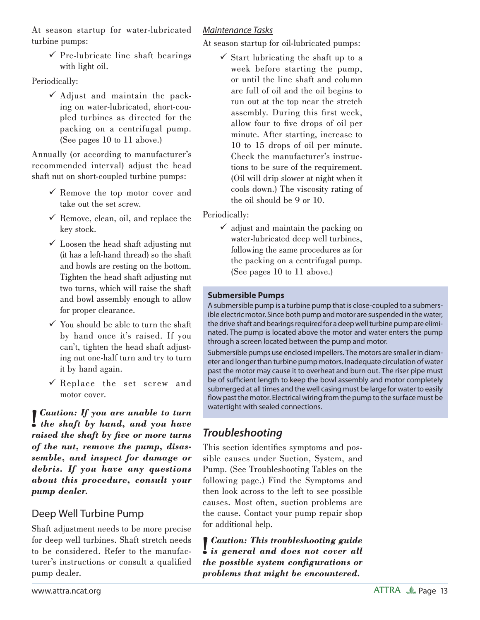At season startup for water-lubricated turbine pumps:

> $\checkmark$  Pre-lubricate line shaft bearings with light oil.

Periodically:

 $\checkmark$  Adjust and maintain the packing on water-lubricated, short-coupled turbines as directed for the packing on a centrifugal pump. (See pages 10 to 11 above.)

Annually (or according to manufacturer's recommended interval) adjust the head shaft nut on short-coupled turbine pumps:

- $\checkmark$  Remove the top motor cover and take out the set screw.
- $\checkmark$  Remove, clean, oil, and replace the key stock.
- $\checkmark$  Loosen the head shaft adjusting nut (it has a left-hand thread) so the shaft and bowls are resting on the bottom. Tighten the head shaft adjusting nut two turns, which will raise the shaft and bowl assembly enough to allow for proper clearance.
- $\checkmark$  You should be able to turn the shaft by hand once it's raised. If you can't, tighten the head shaft adjusting nut one-half turn and try to turn it by hand again.
- $\checkmark$  Replace the set screw and motor cover.

 *Caution: If you are unable to turn the shaft by hand, and you have*  raised the shaft by five or more turns *of the nut, remove the pump, disassemble, and inspect for damage or debris. If you have any questions about this procedure, consult your pump dealer.*

## Deep Well Turbine Pump

Shaft adjustment needs to be more precise for deep well turbines. Shaft stretch needs to be considered. Refer to the manufacturer's instructions or consult a qualified pump dealer.

## *Maintenance Tasks*

At season startup for oil-lubricated pumps:

 $\checkmark$  Start lubricating the shaft up to a week before starting the pump, or until the line shaft and column are full of oil and the oil begins to run out at the top near the stretch assembly. During this first week, allow four to five drops of oil per minute. After starting, increase to 10 to 15 drops of oil per minute. Check the manufacturer's instructions to be sure of the requirement. (Oil will drip slower at night when it cools down.) The viscosity rating of the oil should be 9 or 10.

Periodically:

 $\checkmark$  adjust and maintain the packing on water-lubricated deep well turbines, following the same procedures as for the packing on a centrifugal pump. (See pages 10 to 11 above.)

#### **Submersible Pumps**

A submersible pump is a turbine pump that is close-coupled to a submersible electric motor. Since both pump and motor are suspended in the water, the drive shaft and bearings required for a deep well turbine pump are eliminated. The pump is located above the motor and water enters the pump through a screen located between the pump and motor.

Submersible pumps use enclosed impellers. The motors are smaller in diameter and longer than turbine pump motors. Inadequate circulation of water past the motor may cause it to overheat and burn out. The riser pipe must be of sufficient length to keep the bowl assembly and motor completely submerged at all times and the well casing must be large for water to easily flow past the motor. Electrical wiring from the pump to the surface must be watertight with sealed connections.

# *Troubleshooting*

This section identifies symptoms and possible causes under Suction, System, and Pump. (See Troubleshooting Tables on the following page.) Find the Symptoms and then look across to the left to see possible causes. Most often, suction problems are the cause. Contact your pump repair shop for additional help.

 *Caution: This troubleshooting guide is general and does not cover all the possible system confi gurations or problems that might be encountered.*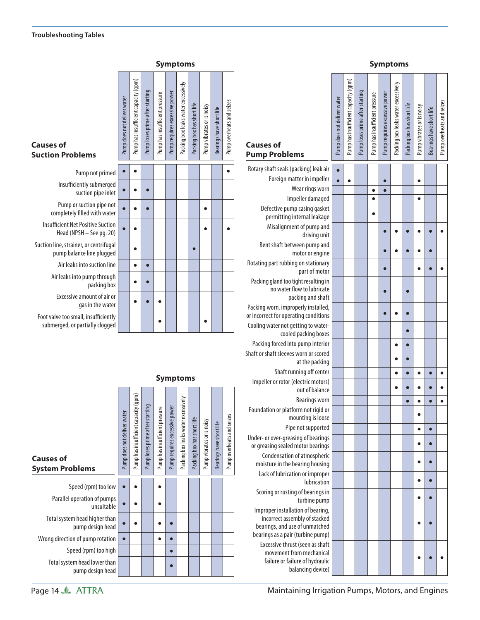#### **Troubleshooting Tables**

#### **Symptoms**

#### **Symptoms**

Packing box leaks water excessively

Packing box has short life Pump vibrates or is noisy Bearings have short life

 $\bullet$ 

 $\overline{\bullet}$ 

 $\bullet$ 

 $\bullet$ 

 $\bullet$ 

Ċ

 $\bullet$ 

 $\bullet$  $\bullet$  $\bullet$ 

 $\bullet$  $\bullet$  $\bullet$  $\bullet$ 

 $\bullet$  $\bullet$  $\bullet$  $\bullet$  $\bullet$  $\bullet$ 

 $\bullet$  $\bullet$   $\bullet$ 

 $\bullet$  $\bullet$ 

 $\bullet$  $\bullet$ 

 $\bullet$  $\bullet$ 

 $\bullet$  $\bullet$ 

 $\bullet$  $\bullet$ 

 $\bullet$  $\bullet$ 

 $\bullet$  $\bullet$ 

 $\bullet$  $\bullet$ 

 $\bullet$ 

 $\bullet$  $\bullet$ 

Pump overheats and seizes

 $\bullet$ 

 $\bullet$  $\bullet$ 

Pump requires excessive power Pump has insufficient pressure

 $\bullet$ 

 $\bullet$  $\bullet$ 

> $\bullet$  $\bullet$  $\bullet$  $\bullet$  $\bullet$

 $\bullet$  $\bullet$ 

 $\bullet$ 

Ċ

 $\bullet$  $\bullet$  $\bullet$ 

 $\bullet$  $\bullet$ 

 Pump does not deliver water Pump has insufficient capacity (gpm) Pump loses prime after starting Pump has insufficient pressure Pump requires excessive power Packing box leaks water excessively Packing box has short life Pump vibrates or is noisy Bearings have short life Pump overheats and seizes

Pump does not deliver water

Pump has insufficient capacity (gpm)

 $\bullet$ 

Pump loses prime after starting

| <b>Causes of</b><br><b>Suction Problems</b>                             | Pump does not deliver water | Pump has insufficient capacity (gpm) | Pump loses prime after starting | Pump has insufficient pressure | Pump requires excessive power | Packing box leaks water excessively | Packing box has short life | Pump vibrates or is noisy | Bearings have short life | Pump overheats and seizes |
|-------------------------------------------------------------------------|-----------------------------|--------------------------------------|---------------------------------|--------------------------------|-------------------------------|-------------------------------------|----------------------------|---------------------------|--------------------------|---------------------------|
| Pump not primed                                                         |                             |                                      |                                 |                                |                               |                                     |                            |                           |                          |                           |
| Insufficiently submerged<br>suction pipe inlet                          |                             |                                      |                                 |                                |                               |                                     |                            |                           |                          |                           |
| Pump or suction pipe not<br>completely filled with water                |                             |                                      |                                 |                                |                               |                                     |                            |                           |                          |                           |
| <b>Insufficient Net Positive Suction</b><br>Head (NPSH - See pg. 20)    |                             |                                      |                                 |                                |                               |                                     |                            |                           |                          |                           |
| Suction line, strainer, or centrifugal<br>pump balance line plugged     |                             |                                      |                                 |                                |                               |                                     |                            |                           |                          |                           |
| Air leaks into suction line                                             |                             |                                      |                                 |                                |                               |                                     |                            |                           |                          |                           |
| Air leaks into pump through<br>packing box                              |                             |                                      |                                 |                                |                               |                                     |                            |                           |                          |                           |
| <b>Excessive amount of air or</b><br>gas in the water                   |                             |                                      |                                 |                                |                               |                                     |                            |                           |                          |                           |
| Foot valve too small, insufficiently<br>submerged, or partially clogged |                             |                                      |                                 |                                |                               |                                     |                            |                           |                          |                           |

| <b>Causes of</b><br><b>System Problems</b>        | Pump does not deliver water | Pump has insufficient capacity (gpm) | Pump loses prime after starting | Pump has insufficient pressure | Pump requires excessive power | Packing box leaks water excessively | Packing box has short life | Pump vibrates or is noisy | Bearings have short life | Pump overheats and seizes |
|---------------------------------------------------|-----------------------------|--------------------------------------|---------------------------------|--------------------------------|-------------------------------|-------------------------------------|----------------------------|---------------------------|--------------------------|---------------------------|
| Speed (rpm) too low                               |                             |                                      |                                 |                                |                               |                                     |                            |                           |                          |                           |
| Parallel operation of pumps<br>unsuitable         |                             |                                      |                                 |                                |                               |                                     |                            |                           |                          |                           |
| Total system head higher than<br>pump design head |                             |                                      |                                 |                                |                               |                                     |                            |                           |                          |                           |
| Wrong direction of pump rotation                  |                             |                                      |                                 |                                |                               |                                     |                            |                           |                          |                           |
| Speed (rpm) too high                              |                             |                                      |                                 |                                |                               |                                     |                            |                           |                          |                           |
| Total system head lower than<br>pump design head  |                             |                                      |                                 |                                |                               |                                     |                            |                           |                          |                           |

## **Causes of Pump Problems**

Rotary shaft seals (packing) leak air  $\bullet$ Foreign matter in impeller  $\bullet$ Wear rings worn Impeller damaged Defective pump casing gasket permitting internal leakage Misalignment of pump and driving unit Bent shaft between pump and motor or engine Rotating part rubbing on stationary part of motor Packing gland too tight resulting in no water flow to lubricate packing and shaft Packing worn, improperly installed, or incorrect for operating conditions Cooling water not getting to watercooled packing boxes Packing forced into pump interior Shaft or shaft sleeves worn or scored at the packing Shaft running off center Impeller or rotor (electric motors) out of balance Bearings worn Foundation or platform not rigid or mounting is loose Pipe not supported Under- or over-greasing of bearings or greasing sealed motor bearings Condensation of atmospheric moisture in the bearing housing Lack of lubrication or improper lubrication Scoring or rusting of bearings in turbine pump Improper installation of bearing, incorrect assembly of stacked bearings, and use of unmatched bearings as a pair (turbine pump) Excessive thrust (seen as shaft movement from mechanical failure or failure of hydraulic balancing device)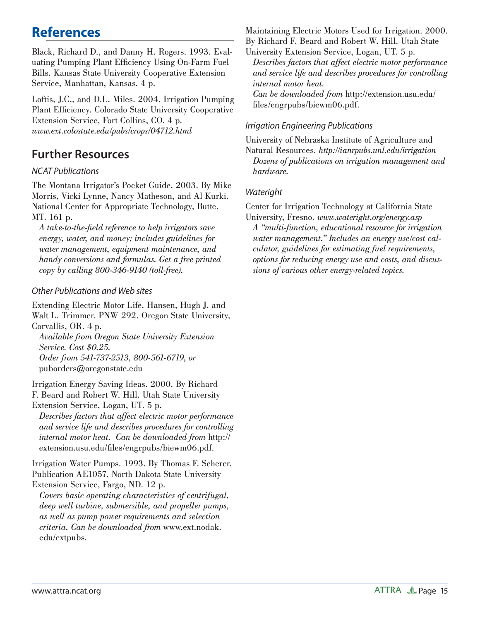# **References**

Black, Richard D., and Danny H. Rogers. 1993. Evaluating Pumping Plant Efficiency Using On-Farm Fuel Bills. Kansas State University Cooperative Extension Service, Manhattan, Kansas. 4 p.

Loftis, J.C., and D.L. Miles. 2004. Irrigation Pumping Plant Efficiency. Colorado State University Cooperative Extension Service, Fort Collins, CO. 4 p. *www.ext.colostate.edu/pubs/crops/04712.html*

# **Further Resources**

## *NCAT Publications*

The Montana Irrigator's Pocket Guide. 2003. By Mike Morris, Vicki Lynne, Nancy Matheson, and Al Kurki. National Center for Appropriate Technology, Butte, MT. 161 p.

 *A take-to-the-fi eld reference to help irrigators save energy, water, and money; includes guidelines for water management, equipment maintenance, and handy conversions and formulas. Get a free printed copy by calling 800-346-9140 (toll-free).*

## *Other Publications and Web sites*

Extending Electric Motor Life. Hansen, Hugh J. and Walt L. Trimmer. PNW 292. Oregon State University, Corvallis, OR. 4 p.

 *Available from Oregon State University Extension Service. Cost \$0.25. Order from 541-737-2513, 800-561-6719, or* 

puborders@oregonstate.edu Irrigation Energy Saving Ideas. 2000. By Richard

F. Beard and Robert W. Hill. Utah State University Extension Service, Logan, UT. 5 p.

 *Describes factors that affect electric motor performance and service life and describes procedures for controlling internal motor heat. Can be downloaded from* http:// extension.usu.edu/files/engrpubs/biewm06.pdf.

Irrigation Water Pumps. 1993. By Thomas F. Scherer. Publication AE1057. North Dakota State University Extension Service, Fargo, ND. 12 p.

 *Covers basic operating characteristics of centrifugal, deep well turbine, submersible, and propeller pumps, as well as pump power requirements and selection criteria. Can be downloaded from* www.ext.nodak. edu/extpubs.

Maintaining Electric Motors Used for Irrigation. 2000. By Richard F. Beard and Robert W. Hill. Utah State University Extension Service, Logan, UT. 5 p.

 *Describes factors that affect electric motor performance and service life and describes procedures for controlling internal motor heat.*

*Can be downloaded from* http://extension.usu.edu/ files/engrpubs/biewm06.pdf.

## *Irrigation Engineering Publications*

University of Nebraska Institute of Agriculture and Natural Resources. *http://ianrpubs.unl.edu/irrigation Dozens of publications on irrigation management and hardware.*

## *Wateright*

Center for Irrigation Technology at California State University, Fresno. *www.wateright.org/energy.asp*

 *A "multi-function, educational resource for irrigation water management." Includes an energy use/cost calculator, guidelines for estimating fuel requirements, options for reducing energy use and costs, and discussions of various other energy-related topics.*